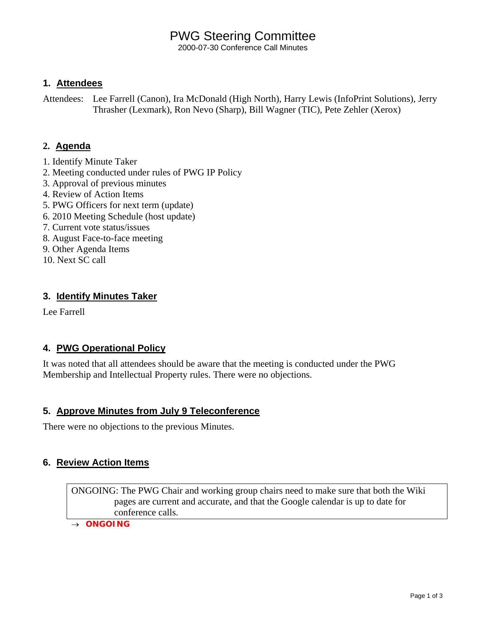# PWG Steering Committee

2000-07-30 Conference Call Minutes

## **1. Attendees**

Attendees: Lee Farrell (Canon), Ira McDonald (High North), Harry Lewis (InfoPrint Solutions), Jerry Thrasher (Lexmark), Ron Nevo (Sharp), Bill Wagner (TIC), Pete Zehler (Xerox)

## **2. Agenda**

- 1. Identify Minute Taker
- 2. Meeting conducted under rules of PWG IP Policy
- 3. Approval of previous minutes
- 4. Review of Action Items
- 5. PWG Officers for next term (update)
- 6. 2010 Meeting Schedule (host update)
- 7. Current vote status/issues
- 8. August Face-to-face meeting
- 9. Other Agenda Items
- 10. Next SC call

## **3. Identify Minutes Taker**

Lee Farrell

## **4. PWG Operational Policy**

It was noted that all attendees should be aware that the meeting is conducted under the PWG Membership and Intellectual Property rules. There were no objections.

## **5. Approve Minutes from July 9 Teleconference**

There were no objections to the previous Minutes.

## **6. Review Action Items**

ONGOING: The PWG Chair and working group chairs need to make sure that both the Wiki pages are current and accurate, and that the Google calendar is up to date for conference calls.

→ *ONGOING*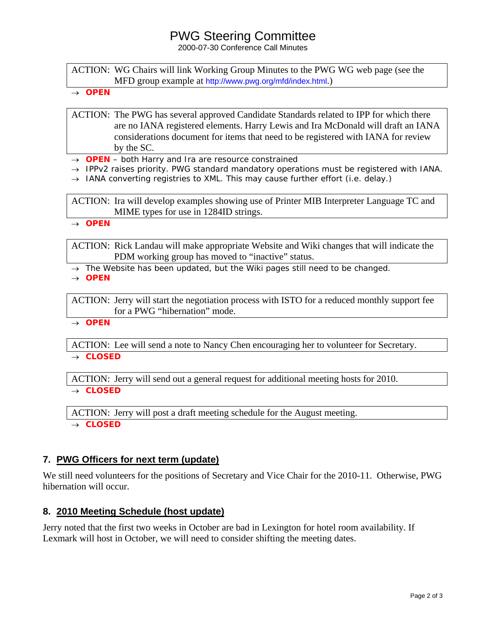## PWG Steering Committee

2000-07-30 Conference Call Minutes

ACTION: WG Chairs will link Working Group Minutes to the PWG WG web page (see the MFD group example at <http://www.pwg.org/mfd/index.html>.)

→ *OPEN*

ACTION: The PWG has several approved Candidate Standards related to IPP for which there are no IANA registered elements. Harry Lewis and Ira McDonald will draft an IANA considerations document for items that need to be registered with IANA for review by the SC.

→ *OPEN – both Harry and Ira are resource constrained* 

- → *IPPv2 raises priority. PWG standard mandatory operations must be registered with IANA.*
- → *IANA converting registries to XML. This may cause further effort (i.e. delay.)*

ACTION: Ira will develop examples showing use of Printer MIB Interpreter Language TC and MIME types for use in 1284ID strings.

→ *OPEN* 

ACTION: Rick Landau will make appropriate Website and Wiki changes that will indicate the PDM working group has moved to "inactive" status.

→ *The Website has been updated, but the Wiki pages still need to be changed.* 

→ *OPEN*

ACTION: Jerry will start the negotiation process with ISTO for a reduced monthly support fee for a PWG "hibernation" mode.

→ *OPEN*

ACTION: Lee will send a note to Nancy Chen encouraging her to volunteer for Secretary. → *CLOSED*

ACTION: Jerry will send out a general request for additional meeting hosts for 2010.

→ *CLOSED*

ACTION: Jerry will post a draft meeting schedule for the August meeting.

→ *CLOSED*

## **7. PWG Officers for next term (update)**

We still need volunteers for the positions of Secretary and Vice Chair for the 2010-11. Otherwise, PWG hibernation will occur.

## **8. 2010 Meeting Schedule (host update)**

Jerry noted that the first two weeks in October are bad in Lexington for hotel room availability. If Lexmark will host in October, we will need to consider shifting the meeting dates.